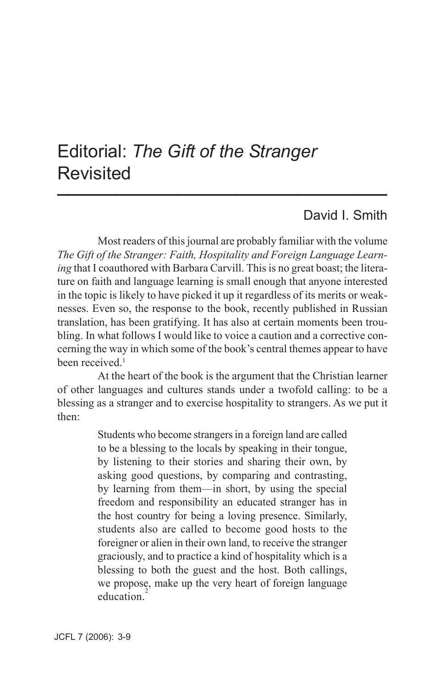### Editorial: *The Gift of the Stranger* Revisited **\_\_\_\_\_\_\_\_\_\_\_\_\_\_\_\_\_\_\_\_\_\_\_\_\_\_\_\_\_\_\_\_\_**

### David I. Smith

Most readers of this journal are probably familiar with the volume *The Gift of the Stranger: Faith, Hospitality and Foreign Language Learning* that I coauthored with Barbara Carvill. This is no great boast; the literature on faith and language learning is small enough that anyone interested in the topic is likely to have picked it up it regardless of its merits or weaknesses. Even so, the response to the book, recently published in Russian translation, has been gratifying. It has also at certain moments been troubling. In what follows I would like to voice a caution and a corrective concerning the way in which some of the book's central themes appear to have been received<sup>1</sup>

At the heart of the book is the argument that the Christian learner of other languages and cultures stands under a twofold calling: to be a blessing as a stranger and to exercise hospitality to strangers. As we put it then:

> Students who become strangers in a foreign land are called to be a blessing to the locals by speaking in their tongue, by listening to their stories and sharing their own, by asking good questions, by comparing and contrasting, by learning from them—in short, by using the special freedom and responsibility an educated stranger has in the host country for being a loving presence. Similarly, students also are called to become good hosts to the foreigner or alien in their own land, to receive the stranger graciously, and to practice a kind of hospitality which is a blessing to both the guest and the host. Both callings, we propose, make up the very heart of foreign language education<sup>2</sup>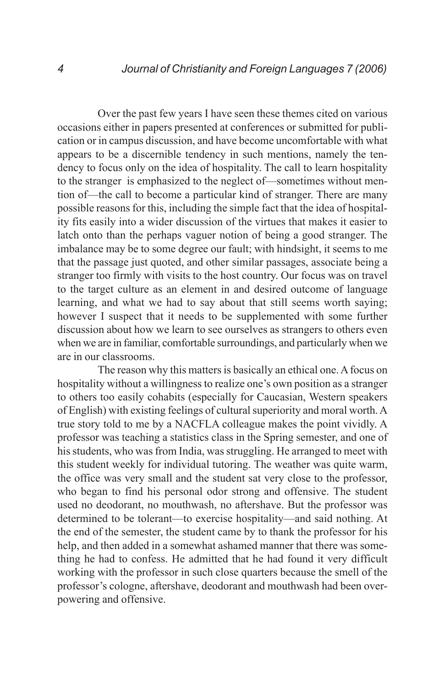Over the past few years I have seen these themes cited on various occasions either in papers presented at conferences or submitted for publication or in campus discussion, and have become uncomfortable with what appears to be a discernible tendency in such mentions, namely the tendency to focus only on the idea of hospitality. The call to learn hospitality to the stranger is emphasized to the neglect of—sometimes without mention of—the call to become a particular kind of stranger. There are many possible reasons for this, including the simple fact that the idea of hospitality fits easily into a wider discussion of the virtues that makes it easier to latch onto than the perhaps vaguer notion of being a good stranger. The imbalance may be to some degree our fault; with hindsight, it seems to me that the passage just quoted, and other similar passages, associate being a stranger too firmly with visits to the host country. Our focus was on travel to the target culture as an element in and desired outcome of language learning, and what we had to say about that still seems worth saying; however I suspect that it needs to be supplemented with some further discussion about how we learn to see ourselves as strangers to others even when we are in familiar, comfortable surroundings, and particularly when we are in our classrooms.

The reason why this matters is basically an ethical one. A focus on hospitality without a willingness to realize one's own position as a stranger to others too easily cohabits (especially for Caucasian, Western speakers of English) with existing feelings of cultural superiority and moral worth. A true story told to me by a NACFLA colleague makes the point vividly. A professor was teaching a statistics class in the Spring semester, and one of his students, who was from India, was struggling. He arranged to meet with this student weekly for individual tutoring. The weather was quite warm, the office was very small and the student sat very close to the professor, who began to find his personal odor strong and offensive. The student used no deodorant, no mouthwash, no aftershave. But the professor was determined to be tolerant—to exercise hospitality—and said nothing. At the end of the semester, the student came by to thank the professor for his help, and then added in a somewhat ashamed manner that there was something he had to confess. He admitted that he had found it very difficult working with the professor in such close quarters because the smell of the professor's cologne, aftershave, deodorant and mouthwash had been overpowering and offensive.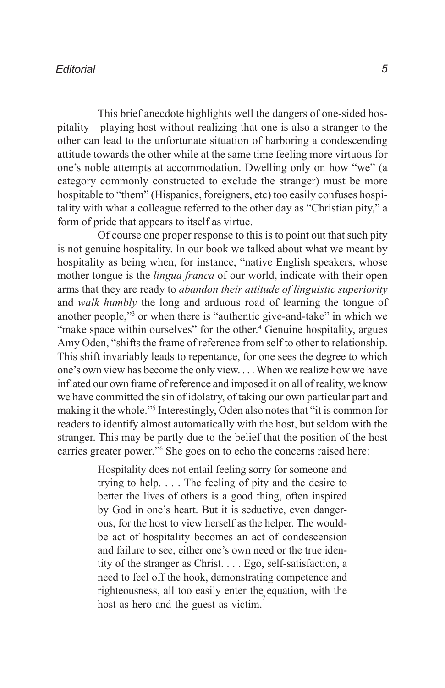#### *Editorial*

This brief anecdote highlights well the dangers of one-sided hospitality—playing host without realizing that one is also a stranger to the other can lead to the unfortunate situation of harboring a condescending attitude towards the other while at the same time feeling more virtuous for one's noble attempts at accommodation. Dwelling only on how "we" (a category commonly constructed to exclude the stranger) must be more hospitable to "them" (Hispanics, foreigners, etc) too easily confuses hospitality with what a colleague referred to the other day as "Christian pity," a form of pride that appears to itself as virtue.

Of course one proper response to this is to point out that such pity is not genuine hospitality. In our book we talked about what we meant by hospitality as being when, for instance, "native English speakers, whose mother tongue is the *lingua franca* of our world, indicate with their open arms that they are ready to *abandon their attitude of linguistic superiority* and *walk humbly* the long and arduous road of learning the tongue of another people,"3 or when there is "authentic give-and-take" in which we "make space within ourselves" for the other.<sup>4</sup> Genuine hospitality, argues Amy Oden, "shifts the frame of reference from self to other to relationship. This shift invariably leads to repentance, for one sees the degree to which one's own view has become the only view. . . . When we realize how we have inflated our own frame of reference and imposed it on all of reality, we know we have committed the sin of idolatry, of taking our own particular part and making it the whole."5 Interestingly, Oden also notes that "it is common for readers to identify almost automatically with the host, but seldom with the stranger. This may be partly due to the belief that the position of the host carries greater power."6 She goes on to echo the concerns raised here:

> Hospitality does not entail feeling sorry for someone and trying to help. . . . The feeling of pity and the desire to better the lives of others is a good thing, often inspired by God in one's heart. But it is seductive, even dangerous, for the host to view herself as the helper. The wouldbe act of hospitality becomes an act of condescension and failure to see, either one's own need or the true identity of the stranger as Christ. . . . Ego, self-satisfaction, a need to feel off the hook, demonstrating competence and righteousness, all too easily enter the equation, with the host as hero and the guest as victim.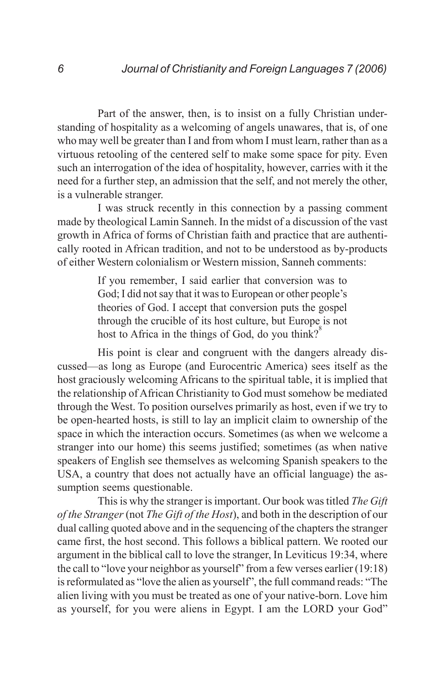Part of the answer, then, is to insist on a fully Christian understanding of hospitality as a welcoming of angels unawares, that is, of one who may well be greater than I and from whom I must learn, rather than as a virtuous retooling of the centered self to make some space for pity. Even such an interrogation of the idea of hospitality, however, carries with it the need for a further step, an admission that the self, and not merely the other, is a vulnerable stranger.

I was struck recently in this connection by a passing comment made by theological Lamin Sanneh. In the midst of a discussion of the vast growth in Africa of forms of Christian faith and practice that are authentically rooted in African tradition, and not to be understood as by-products of either Western colonialism or Western mission, Sanneh comments:

> If you remember, I said earlier that conversion was to God; I did not say that it was to European or other people's theories of God. I accept that conversion puts the gospel through the crucible of its host culture, but Europe is not host to Africa in the things of God, do you think?<sup>8</sup>

His point is clear and congruent with the dangers already discussed—as long as Europe (and Eurocentric America) sees itself as the host graciously welcoming Africans to the spiritual table, it is implied that the relationship of African Christianity to God must somehow be mediated through the West. To position ourselves primarily as host, even if we try to be open-hearted hosts, is still to lay an implicit claim to ownership of the space in which the interaction occurs. Sometimes (as when we welcome a stranger into our home) this seems justified; sometimes (as when native speakers of English see themselves as welcoming Spanish speakers to the USA, a country that does not actually have an official language) the assumption seems questionable.

This is why the stranger is important. Our book was titled *The Gift of the Stranger* (not *The Gift of the Host*), and both in the description of our dual calling quoted above and in the sequencing of the chapters the stranger came first, the host second. This follows a biblical pattern. We rooted our argument in the biblical call to love the stranger, In Leviticus 19:34, where the call to "love your neighbor as yourself" from a few verses earlier (19:18) is reformulated as "love the alien as yourself", the full command reads: "The alien living with you must be treated as one of your native-born. Love him as yourself, for you were aliens in Egypt. I am the LORD your God"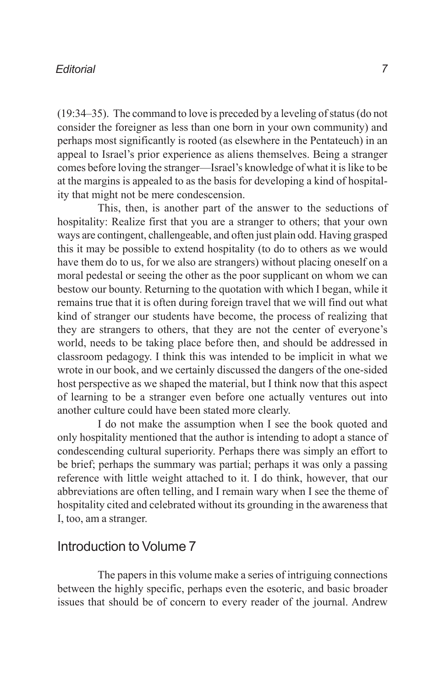#### *Editorial*

(19:34–35). The command to love is preceded by a leveling of status (do not consider the foreigner as less than one born in your own community) and perhaps most significantly is rooted (as elsewhere in the Pentateuch) in an appeal to Israel's prior experience as aliens themselves. Being a stranger comes before loving the stranger—Israel's knowledge of what it is like to be at the margins is appealed to as the basis for developing a kind of hospitality that might not be mere condescension.

This, then, is another part of the answer to the seductions of hospitality: Realize first that you are a stranger to others; that your own ways are contingent, challengeable, and often just plain odd. Having grasped this it may be possible to extend hospitality (to do to others as we would have them do to us, for we also are strangers) without placing oneself on a moral pedestal or seeing the other as the poor supplicant on whom we can bestow our bounty. Returning to the quotation with which I began, while it remains true that it is often during foreign travel that we will find out what kind of stranger our students have become, the process of realizing that they are strangers to others, that they are not the center of everyone's world, needs to be taking place before then, and should be addressed in classroom pedagogy. I think this was intended to be implicit in what we wrote in our book, and we certainly discussed the dangers of the one-sided host perspective as we shaped the material, but I think now that this aspect of learning to be a stranger even before one actually ventures out into another culture could have been stated more clearly.

I do not make the assumption when I see the book quoted and only hospitality mentioned that the author is intending to adopt a stance of condescending cultural superiority. Perhaps there was simply an effort to be brief; perhaps the summary was partial; perhaps it was only a passing reference with little weight attached to it. I do think, however, that our abbreviations are often telling, and I remain wary when I see the theme of hospitality cited and celebrated without its grounding in the awareness that I, too, am a stranger.

#### Introduction to Volume 7

The papers in this volume make a series of intriguing connections between the highly specific, perhaps even the esoteric, and basic broader issues that should be of concern to every reader of the journal. Andrew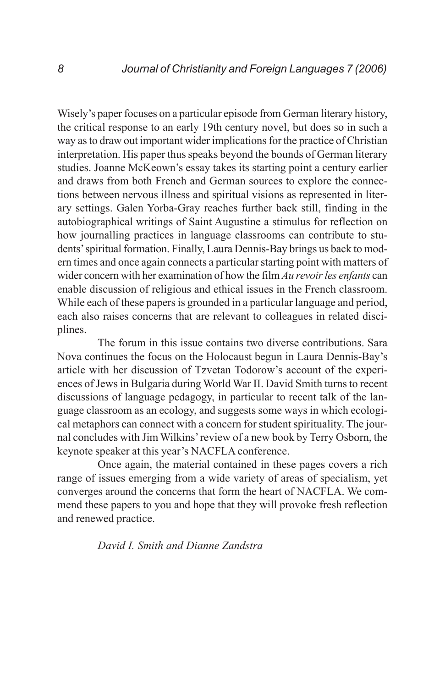Wisely's paper focuses on a particular episode from German literary history, the critical response to an early 19th century novel, but does so in such a way as to draw out important wider implications for the practice of Christian interpretation. His paper thus speaks beyond the bounds of German literary studies. Joanne McKeown's essay takes its starting point a century earlier and draws from both French and German sources to explore the connections between nervous illness and spiritual visions as represented in literary settings. Galen Yorba-Gray reaches further back still, finding in the autobiographical writings of Saint Augustine a stimulus for reflection on how journalling practices in language classrooms can contribute to students' spiritual formation. Finally, Laura Dennis-Bay brings us back to modern times and once again connects a particular starting point with matters of wider concern with her examination of how the film *Au revoir les enfants* can enable discussion of religious and ethical issues in the French classroom. While each of these papers is grounded in a particular language and period, each also raises concerns that are relevant to colleagues in related disciplines.

The forum in this issue contains two diverse contributions. Sara Nova continues the focus on the Holocaust begun in Laura Dennis-Bay's article with her discussion of Tzvetan Todorow's account of the experiences of Jews in Bulgaria during World War II. David Smith turns to recent discussions of language pedagogy, in particular to recent talk of the language classroom as an ecology, and suggests some ways in which ecological metaphors can connect with a concern for student spirituality. The journal concludes with Jim Wilkins' review of a new book by Terry Osborn, the keynote speaker at this year's NACFLA conference.

Once again, the material contained in these pages covers a rich range of issues emerging from a wide variety of areas of specialism, yet converges around the concerns that form the heart of NACFLA. We commend these papers to you and hope that they will provoke fresh reflection and renewed practice.

#### *David I. Smith and Dianne Zandstra*